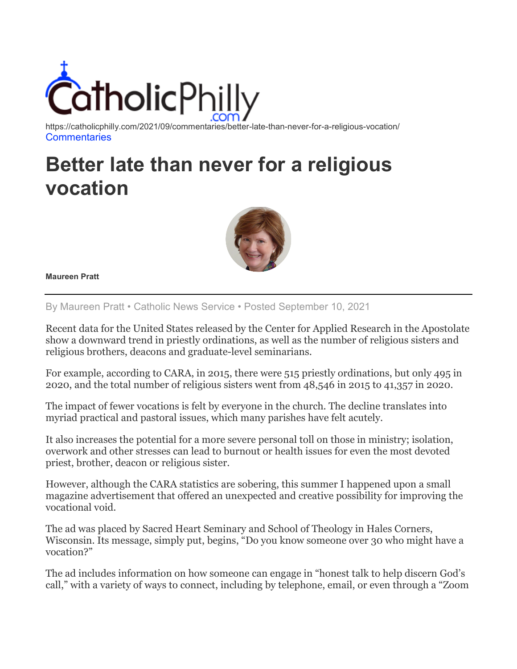

https://catholicphilly.com/2021/09/commentaries/better-late-than-never-for-a-religious-vocation/ **[Commentaries](https://catholicphilly.com/category/commentaries/)** 

## **Better late than never for a religious vocation**



**Maureen Pratt**

By Maureen Pratt • Catholic News Service • Posted September 10, 2021

Recent data for the United States released by the Center for Applied Research in the Apostolate show a downward trend in priestly ordinations, as well as the number of religious sisters and religious brothers, deacons and graduate-level seminarians.

For example, according to CARA, in 2015, there were 515 priestly ordinations, but only 495 in 2020, and the total number of religious sisters went from 48,546 in 2015 to 41,357 in 2020.

The impact of fewer vocations is felt by everyone in the church. The decline translates into myriad practical and pastoral issues, which many parishes have felt acutely.

It also increases the potential for a more severe personal toll on those in ministry; isolation, overwork and other stresses can lead to burnout or health issues for even the most devoted priest, brother, deacon or religious sister.

However, although the CARA statistics are sobering, this summer I happened upon a small magazine advertisement that offered an unexpected and creative possibility for improving the vocational void.

The ad was placed by Sacred Heart Seminary and School of Theology in Hales Corners, Wisconsin. Its message, simply put, begins, "Do you know someone over 30 who might have a vocation?"

The ad includes information on how someone can engage in "honest talk to help discern God's call," with a variety of ways to connect, including by telephone, email, or even through a "Zoom